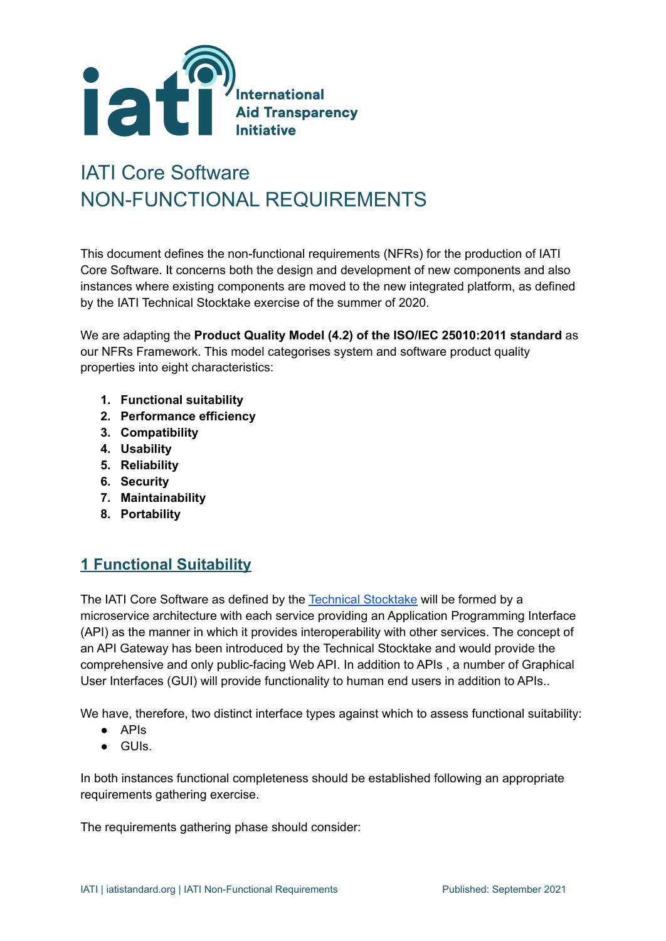

# IATI Core Software NON-FUNCTIONAL REQUIREMENTS

This document defines the non-functional requirements (NFRs) for the production of IATI Core Software. It concerns both the design and development of new components and also instances where existing components are moved to the new integrated platform, as defined by the IATI Technical Stocktake exercise of the summer of 2020.

We are adapting the **Product Quality Model (4.2) of the ISO/IEC 25010:2011 standard** as our NFRs Framework. This model categorises system and software product quality properties into eight characteristics:

- **1. Functional suitability**
- **2. Performance efficiency**
- **3. Compatibility**
- **4. Usability**
- **5. Reliability**
- **6. Security**
- **7. Maintainability**
- **8. Portability**

# **1 Functional Suitability**

The IATI Core Software as defined by the Technical [Stocktake](https://iatistandard.org/documents/10452/IATI_System_Design_presentation_Stocktake_2020.pdf) will be formed by a microservice architecture with each service providing an Application Programming Interface (API) as the manner in which it provides interoperability with other services. The concept of an API Gateway has been introduced by the Technical Stocktake and would provide the comprehensive and only public-facing Web API. In addition to APIs , a number of Graphical User Interfaces (GUI) will provide functionality to human end users in addition to APIs..

We have, therefore, two distinct interface types against which to assess functional suitability:

- APIs
- GUIs.

In both instances functional completeness should be established following an appropriate requirements gathering exercise.

The requirements gathering phase should consider: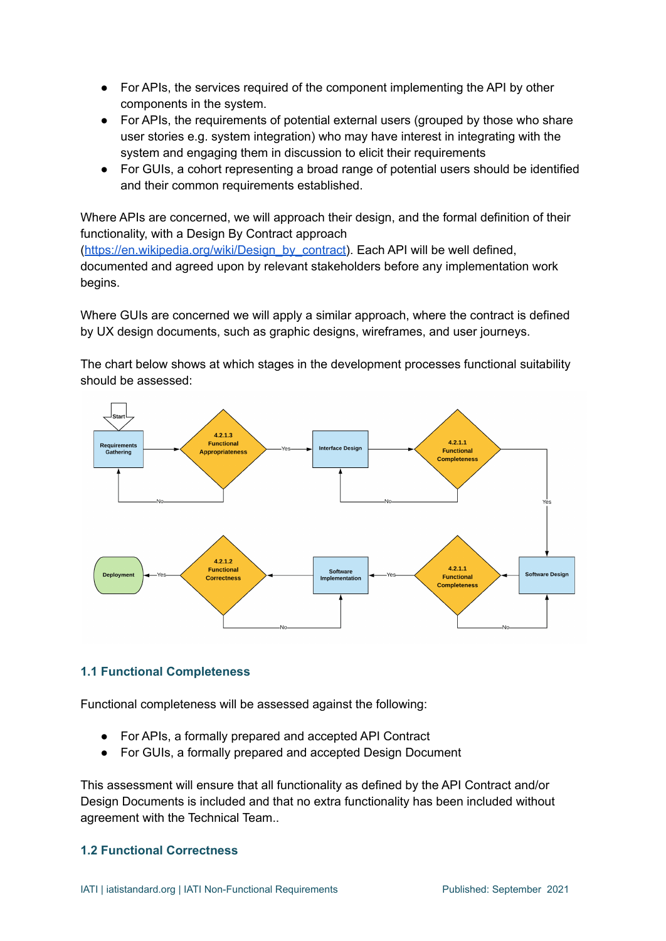- For APIs, the services required of the component implementing the API by other components in the system.
- For APIs, the requirements of potential external users (grouped by those who share user stories e.g. system integration) who may have interest in integrating with the system and engaging them in discussion to elicit their requirements
- For GUIs, a cohort representing a broad range of potential users should be identified and their common requirements established.

Where APIs are concerned, we will approach their design, and the formal definition of their functionality, with a Design By Contract approach

([https://en.wikipedia.org/wiki/Design\\_by\\_contract\)](https://en.wikipedia.org/wiki/Design_by_contract). Each API will be well defined, documented and agreed upon by relevant stakeholders before any implementation work begins.

Where GUIs are concerned we will apply a similar approach, where the contract is defined by UX design documents, such as graphic designs, wireframes, and user journeys.

The chart below shows at which stages in the development processes functional suitability should be assessed:



#### **1.1 Functional Completeness**

Functional completeness will be assessed against the following:

- For APIs, a formally prepared and accepted API Contract
- For GUIs, a formally prepared and accepted Design Document

This assessment will ensure that all functionality as defined by the API Contract and/or Design Documents is included and that no extra functionality has been included without agreement with the Technical Team..

#### **1.2 Functional Correctness**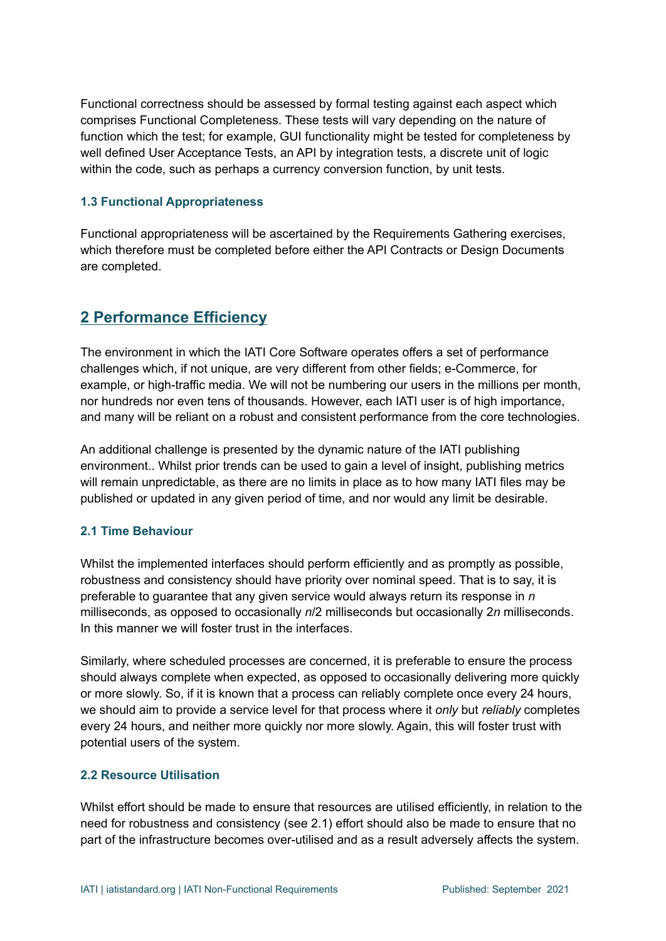Functional correctness should be assessed by formal testing against each aspect which comprises Functional Completeness. These tests will vary depending on the nature of function which the test; for example, GUI functionality might be tested for completeness by well defined User Acceptance Tests, an API by integration tests, a discrete unit of logic within the code, such as perhaps a currency conversion function, by unit tests.

#### **1.3 Functional Appropriateness**

Functional appropriateness will be ascertained by the Requirements Gathering exercises, which therefore must be completed before either the API Contracts or Design Documents are completed.

# **2 Performance Efficiency**

The environment in which the IATI Core Software operates offers a set of performance challenges which, if not unique, are very different from other fields; e-Commerce, for example, or high-traffic media. We will not be numbering our users in the millions per month, nor hundreds nor even tens of thousands. However, each IATI user is of high importance, and many will be reliant on a robust and consistent performance from the core technologies.

An additional challenge is presented by the dynamic nature of the IATI publishing environment.. Whilst prior trends can be used to gain a level of insight, publishing metrics will remain unpredictable, as there are no limits in place as to how many IATI files may be published or updated in any given period of time, and nor would any limit be desirable.

#### **2.1 Time Behaviour**

Whilst the implemented interfaces should perform efficiently and as promptly as possible, robustness and consistency should have priority over nominal speed. That is to say, it is preferable to guarantee that any given service would always return its response in *n* milliseconds, as opposed to occasionally *n*/2 milliseconds but occasionally 2*n* milliseconds. In this manner we will foster trust in the interfaces.

Similarly, where scheduled processes are concerned, it is preferable to ensure the process should always complete when expected, as opposed to occasionally delivering more quickly or more slowly. So, if it is known that a process can reliably complete once every 24 hours, we should aim to provide a service level for that process where it *only* but *reliably* completes every 24 hours, and neither more quickly nor more slowly. Again, this will foster trust with potential users of the system.

#### **2.2 Resource Utilisation**

Whilst effort should be made to ensure that resources are utilised efficiently, in relation to the need for robustness and consistency (see 2.1) effort should also be made to ensure that no part of the infrastructure becomes over-utilised and as a result adversely affects the system.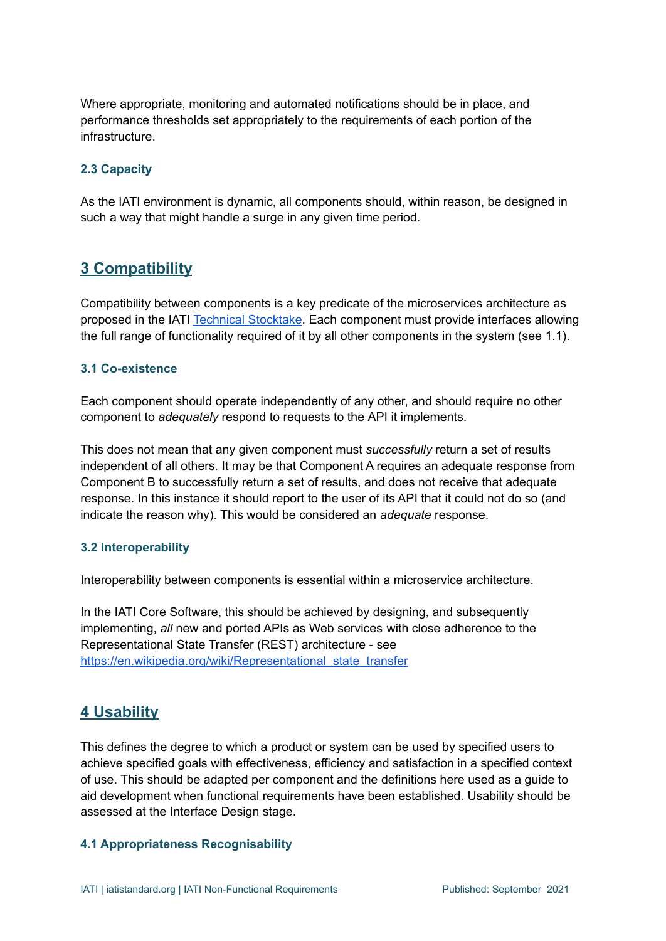Where appropriate, monitoring and automated notifications should be in place, and performance thresholds set appropriately to the requirements of each portion of the infrastructure.

#### **2.3 Capacity**

As the IATI environment is dynamic, all components should, within reason, be designed in such a way that might handle a surge in any given time period.

# **3 Compatibility**

Compatibility between components is a key predicate of the microservices architecture as proposed in the IATI Technical [Stocktake](https://iatistandard.org/documents/10452/IATI_System_Design_presentation_Stocktake_2020.pdf). Each component must provide interfaces allowing the full range of functionality required of it by all other components in the system (see 1.1).

#### **3.1 Co-existence**

Each component should operate independently of any other, and should require no other component to *adequately* respond to requests to the API it implements.

This does not mean that any given component must *successfully* return a set of results independent of all others. It may be that Component A requires an adequate response from Component B to successfully return a set of results, and does not receive that adequate response. In this instance it should report to the user of its API that it could not do so (and indicate the reason why). This would be considered an *adequate* response.

#### **3.2 Interoperability**

Interoperability between components is essential within a microservice architecture.

In the IATI Core Software, this should be achieved by designing, and subsequently implementing, *all* new and ported APIs as Web services with close adherence to the Representational State Transfer (REST) architecture - see [https://en.wikipedia.org/wiki/Representational\\_state\\_transfer](https://en.wikipedia.org/wiki/Representational_state_transfer)

# **4 Usability**

This defines the degree to which a product or system can be used by specified users to achieve specified goals with effectiveness, efficiency and satisfaction in a specified context of use. This should be adapted per component and the definitions here used as a guide to aid development when functional requirements have been established. Usability should be assessed at the Interface Design stage.

#### **4.1 Appropriateness Recognisability**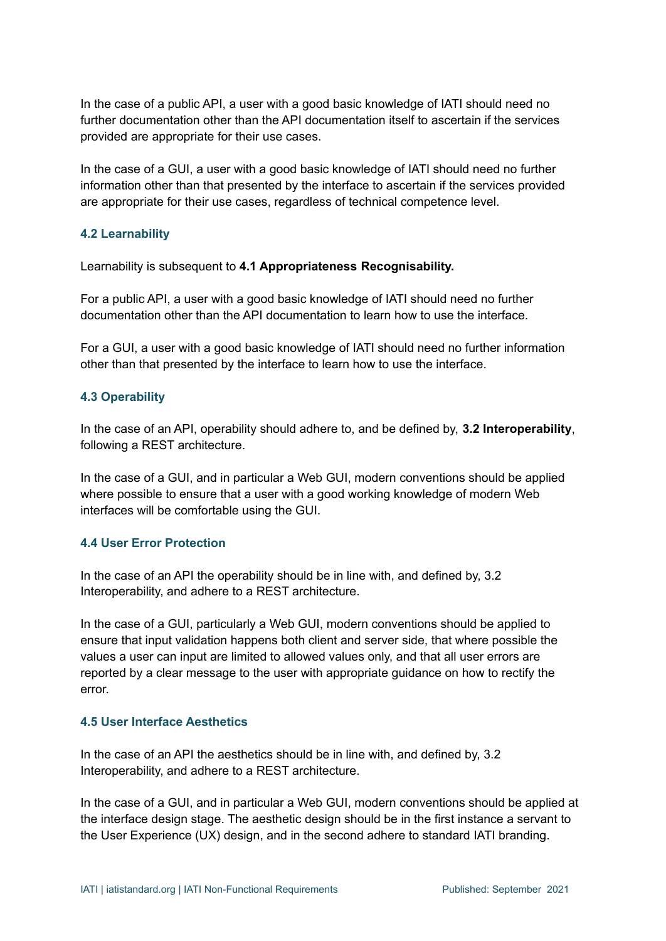In the case of a public API, a user with a good basic knowledge of IATI should need no further documentation other than the API documentation itself to ascertain if the services provided are appropriate for their use cases.

In the case of a GUI, a user with a good basic knowledge of IATI should need no further information other than that presented by the interface to ascertain if the services provided are appropriate for their use cases, regardless of technical competence level.

#### **4.2 Learnability**

Learnability is subsequent to **4.1 Appropriateness Recognisability.**

For a public API, a user with a good basic knowledge of IATI should need no further documentation other than the API documentation to learn how to use the interface.

For a GUI, a user with a good basic knowledge of IATI should need no further information other than that presented by the interface to learn how to use the interface.

### **4.3 Operability**

In the case of an API, operability should adhere to, and be defined by, **3.2 Interoperability**, following a REST architecture.

In the case of a GUI, and in particular a Web GUI, modern conventions should be applied where possible to ensure that a user with a good working knowledge of modern Web interfaces will be comfortable using the GUI.

#### **4.4 User Error Protection**

In the case of an API the operability should be in line with, and defined by, 3.2 Interoperability, and adhere to a REST architecture.

In the case of a GUI, particularly a Web GUI, modern conventions should be applied to ensure that input validation happens both client and server side, that where possible the values a user can input are limited to allowed values only, and that all user errors are reported by a clear message to the user with appropriate guidance on how to rectify the error.

#### **4.5 User Interface Aesthetics**

In the case of an API the aesthetics should be in line with, and defined by, 3.2 Interoperability, and adhere to a REST architecture.

In the case of a GUI, and in particular a Web GUI, modern conventions should be applied at the interface design stage. The aesthetic design should be in the first instance a servant to the User Experience (UX) design, and in the second adhere to standard IATI branding.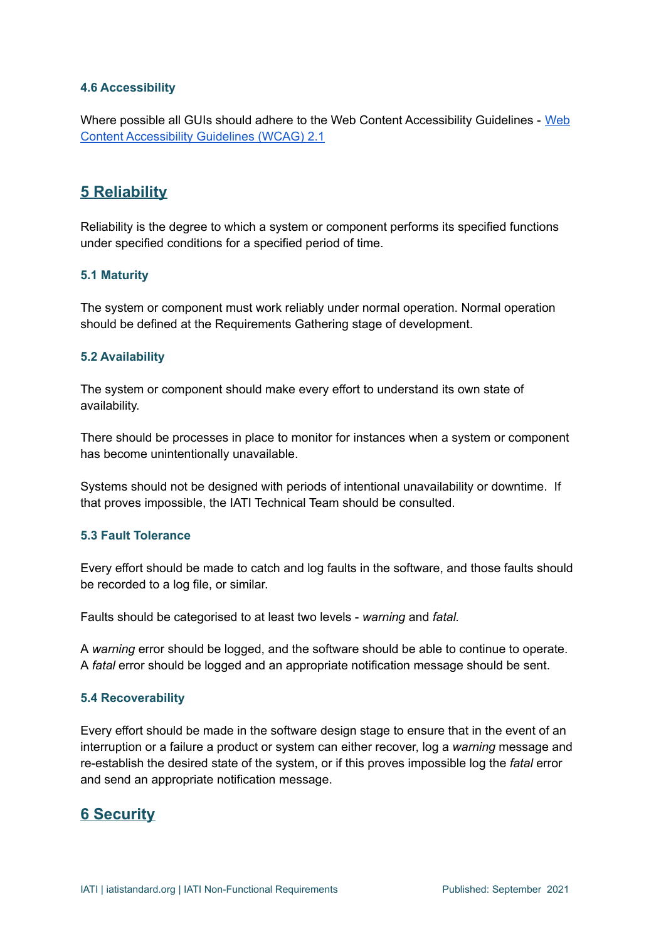#### **4.6 Accessibility**

Where possible all GUIs should adhere to the [Web](https://www.w3.org/TR/WCAG21/) Content Accessibility Guidelines - Web Content [Accessibility](https://www.w3.org/TR/WCAG21/) Guidelines (WCAG) 2.1

# **5 Reliability**

Reliability is the degree to which a system or component performs its specified functions under specified conditions for a specified period of time.

#### **5.1 Maturity**

The system or component must work reliably under normal operation. Normal operation should be defined at the Requirements Gathering stage of development.

#### **5.2 Availability**

The system or component should make every effort to understand its own state of availability.

There should be processes in place to monitor for instances when a system or component has become unintentionally unavailable.

Systems should not be designed with periods of intentional unavailability or downtime. If that proves impossible, the IATI Technical Team should be consulted.

#### **5.3 Fault Tolerance**

Every effort should be made to catch and log faults in the software, and those faults should be recorded to a log file, or similar.

Faults should be categorised to at least two levels - *warning* and *fatal.*

A *warning* error should be logged, and the software should be able to continue to operate. A *fatal* error should be logged and an appropriate notification message should be sent.

#### **5.4 Recoverability**

Every effort should be made in the software design stage to ensure that in the event of an interruption or a failure a product or system can either recover, log a *warning* message and re-establish the desired state of the system, or if this proves impossible log the *fatal* error and send an appropriate notification message.

## **6 Security**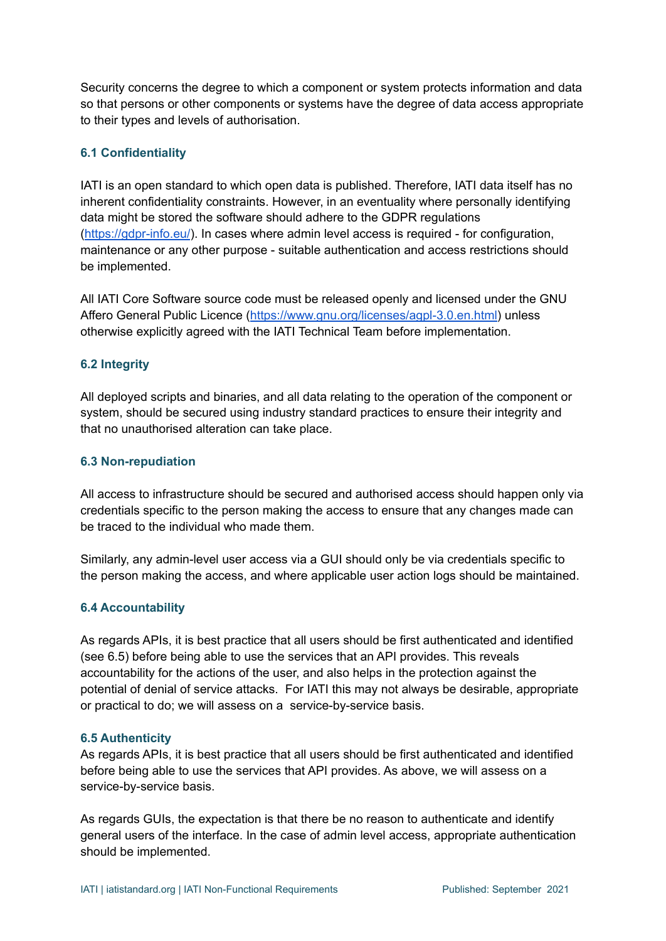Security concerns the degree to which a component or system protects information and data so that persons or other components or systems have the degree of data access appropriate to their types and levels of authorisation.

#### **6.1 Confidentiality**

IATI is an open standard to which open data is published. Therefore, IATI data itself has no inherent confidentiality constraints. However, in an eventuality where personally identifying data might be stored the software should adhere to the GDPR regulations (<https://gdpr-info.eu/>). In cases where admin level access is required - for configuration, maintenance or any other purpose - suitable authentication and access restrictions should be implemented.

All IATI Core Software source code must be released openly and licensed under the GNU Affero General Public Licence (<https://www.gnu.org/licenses/agpl-3.0.en.html>) unless otherwise explicitly agreed with the IATI Technical Team before implementation.

#### **6.2 Integrity**

All deployed scripts and binaries, and all data relating to the operation of the component or system, should be secured using industry standard practices to ensure their integrity and that no unauthorised alteration can take place.

#### **6.3 Non-repudiation**

All access to infrastructure should be secured and authorised access should happen only via credentials specific to the person making the access to ensure that any changes made can be traced to the individual who made them.

Similarly, any admin-level user access via a GUI should only be via credentials specific to the person making the access, and where applicable user action logs should be maintained.

#### **6.4 Accountability**

As regards APIs, it is best practice that all users should be first authenticated and identified (see 6.5) before being able to use the services that an API provides. This reveals accountability for the actions of the user, and also helps in the protection against the potential of denial of service attacks. For IATI this may not always be desirable, appropriate or practical to do; we will assess on a service-by-service basis.

#### **6.5 Authenticity**

As regards APIs, it is best practice that all users should be first authenticated and identified before being able to use the services that API provides. As above, we will assess on a service-by-service basis.

As regards GUIs, the expectation is that there be no reason to authenticate and identify general users of the interface. In the case of admin level access, appropriate authentication should be implemented.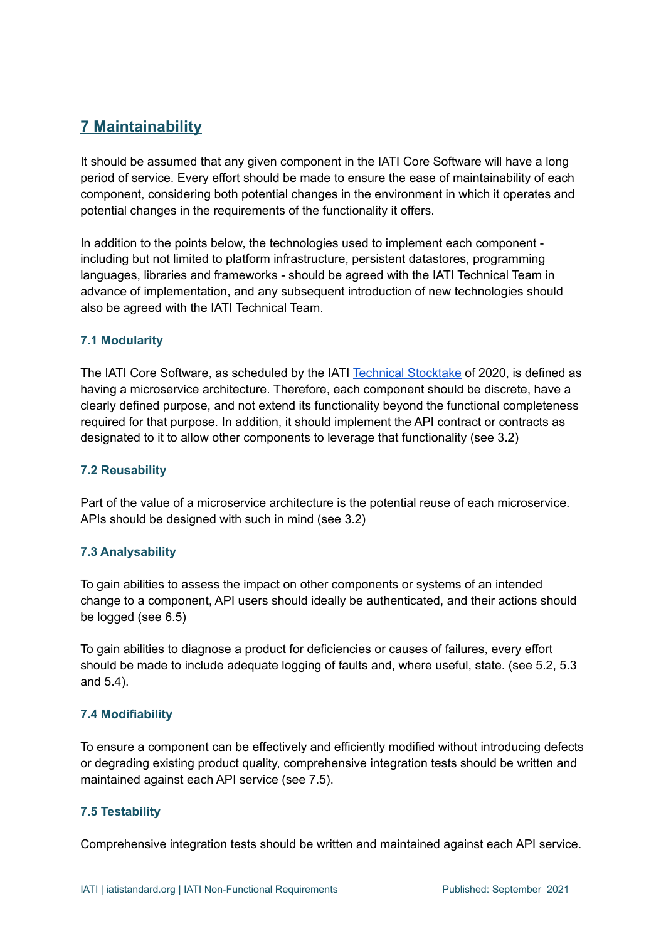# **7 Maintainability**

It should be assumed that any given component in the IATI Core Software will have a long period of service. Every effort should be made to ensure the ease of maintainability of each component, considering both potential changes in the environment in which it operates and potential changes in the requirements of the functionality it offers.

In addition to the points below, the technologies used to implement each component including but not limited to platform infrastructure, persistent datastores, programming languages, libraries and frameworks - should be agreed with the IATI Technical Team in advance of implementation, and any subsequent introduction of new technologies should also be agreed with the IATI Technical Team.

### **7.1 Modularity**

The IATI Core Software, as scheduled by the IATI Technical [Stocktake](https://iatistandard.org/documents/10452/IATI_System_Design_presentation_Stocktake_2020.pdf) of 2020, is defined as having a microservice architecture. Therefore, each component should be discrete, have a clearly defined purpose, and not extend its functionality beyond the functional completeness required for that purpose. In addition, it should implement the API contract or contracts as designated to it to allow other components to leverage that functionality (see 3.2)

#### **7.2 Reusability**

Part of the value of a microservice architecture is the potential reuse of each microservice. APIs should be designed with such in mind (see 3.2)

### **7.3 Analysability**

To gain abilities to assess the impact on other components or systems of an intended change to a component, API users should ideally be authenticated, and their actions should be logged (see 6.5)

To gain abilities to diagnose a product for deficiencies or causes of failures, every effort should be made to include adequate logging of faults and, where useful, state. (see 5.2, 5.3 and 5.4).

### **7.4 Modifiability**

To ensure a component can be effectively and efficiently modified without introducing defects or degrading existing product quality, comprehensive integration tests should be written and maintained against each API service (see 7.5).

### **7.5 Testability**

Comprehensive integration tests should be written and maintained against each API service.